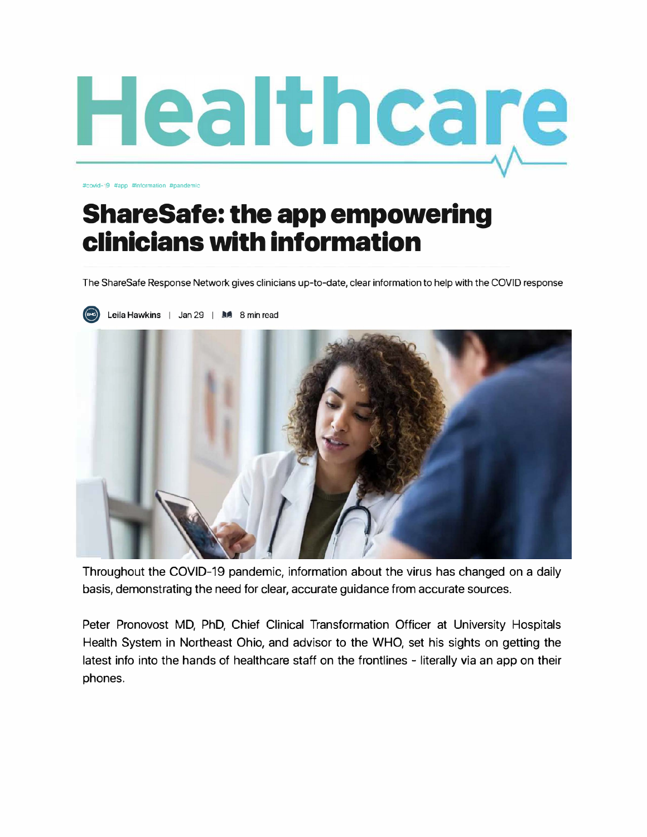

#covid- 9 #app #information #pandemic

## **ShareSafe: the app empowering clinicians with information**

The ShareSafe Response Network gives clinicians up-to-date, clear information to help with the COVID response



Throughout the COVID-19 pandemic, information about the virus has changed on a daily basis, demonstrating the need for clear, accurate guidance from accurate sources.

Peter Pronovost MD, PhD, Chief Clinical Transformation Officer at University Hospitals Health System in Northeast Ohio, and advisor to the WHO, set his sights on getting the latest info into the hands of healthcare staff on the frontlines - literally via an app on their phones.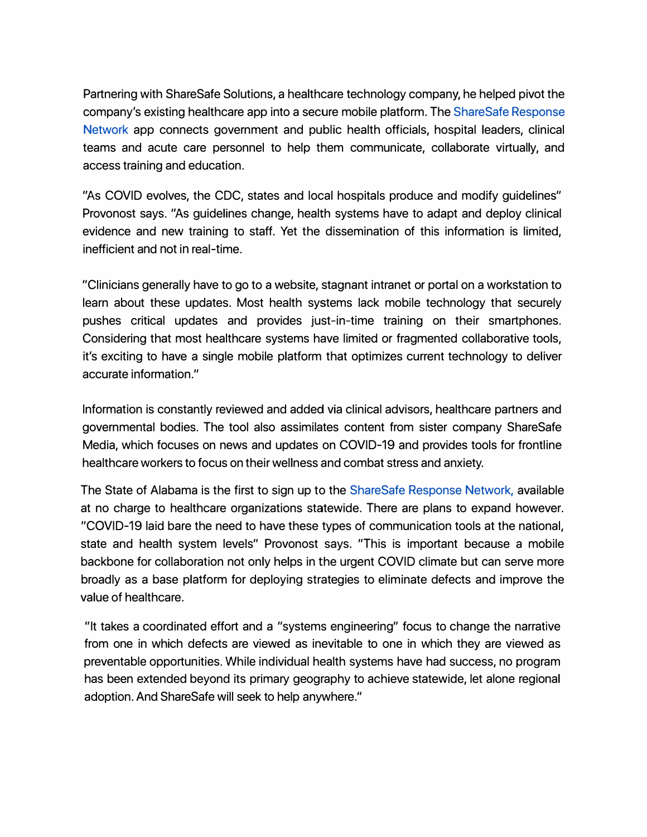Partnering with ShareSafe Solutions, a healthcare technology company, he helped pivot the company's existing healthcare app into a secure mobile platform. The [ShareSafe Response](https://sharesaferesponsenetwork.com/)  [Network](https://sharesaferesponsenetwork.com/) app connects government and public health officials, hospital leaders, clinical teams and acute care personnel to help them communicate, collaborate virtually, and access training and education.

"As COVID evolves, the CDC, states and local hospitals produce and modify guidelines" Provonost says. "As guidelines change, health systems have to adapt and deploy clinical evidence and new training to staff. Yet the dissemination of this information is limited, inefficient and not in real-time.

"Clinicians generally have to go to a website, stagnant intranet or portal on a workstation to learn about these updates. Most health systems lack mobile technology that securely pushes critical updates and provides just-in-time training on their smartphones. Considering that most healthcare systems have limited or fragmented collaborative tools, it's exciting to have a single mobile platform that optimizes current technology to deliver accurate information."

Information is constantly reviewed and added via clinical advisors, healthcare partners and governmental bodies. The tool also assimilates content from sister company ShareSafe Media, which focuses on news and updates on COVID-19 and provides tools for frontline healthcare workers to focus on their wellness and combat stress and anxiety.

The State of Alabama is the first to sign up to the [ShareSafe Response Network,](https://sharesaferesponsenetwork.com/) available at no charge to healthcare organizations statewide. There are plans to expand however. "COVID-19 laid bare the need to have these types of communication tools at the national, state and health system levels" Provonost says. "This is important because a mobile backbone for collaboration not only helps in the urgent COVID climate but can serve more broadly as a base platform for deploying strategies to eliminate defects and improve the value of healthcare.

"It takes a coordinated effort and a "systems engineering" focus to change the narrative from one in which defects are viewed as inevitable to one in which they are viewed as preventable opportunities. While individual health systems have had success, no program has been extended beyond its primary geography to achieve statewide, let alone regional adoption. And ShareSafe will seek to help anywhere."